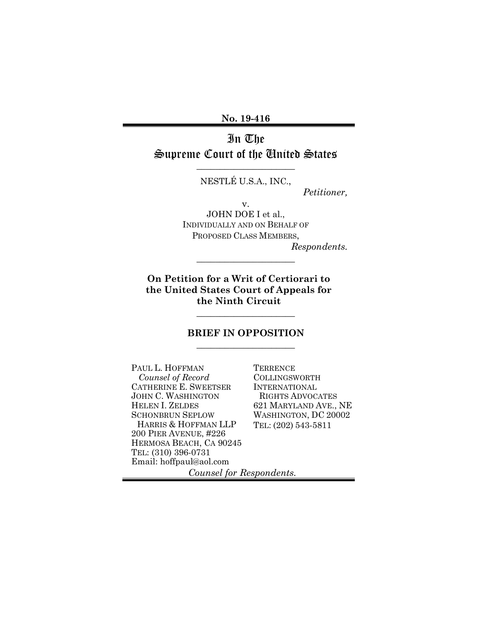**No. 19-416**

# In The Supreme Court of the United States

NESTLÉ U.S.A., INC.,

\_\_\_\_\_\_\_\_\_\_\_\_\_\_\_\_\_\_\_\_\_

*Petitioner,*

v. JOHN DOE I et al., INDIVIDUALLY AND ON BEHALF OF PROPOSED CLASS MEMBERS,

\_\_\_\_\_\_\_\_\_\_\_\_\_\_\_\_\_\_\_\_\_

*Respondents.*

**On Petition for a Writ of Certiorari to the United States Court of Appeals for the Ninth Circuit**

### **BRIEF IN OPPOSITION** \_\_\_\_\_\_\_\_\_\_\_\_\_\_\_\_\_\_\_\_\_

\_\_\_\_\_\_\_\_\_\_\_\_\_\_\_\_\_\_\_\_\_

PAUL L. HOFFMAN  *Counsel of Record* CATHERINE E. SWEETSER JOHN C. WASHINGTON HELEN I. ZELDES SCHONBRUN SEPLOW HARRIS & HOFFMAN LLP 200 PIER AVENUE, #226 HERMOSA BEACH, CA 90245 TEL: (310) 396-0731 Email: hoffpaul@aol.com

**TERRENCE** COLLINGSWORTH INTERNATIONAL RIGHTS ADVOCATES 621 MARYLAND AVE., NE WASHINGTON, DC 20002 TEL: (202) 543-5811

*Counsel for Respondents.*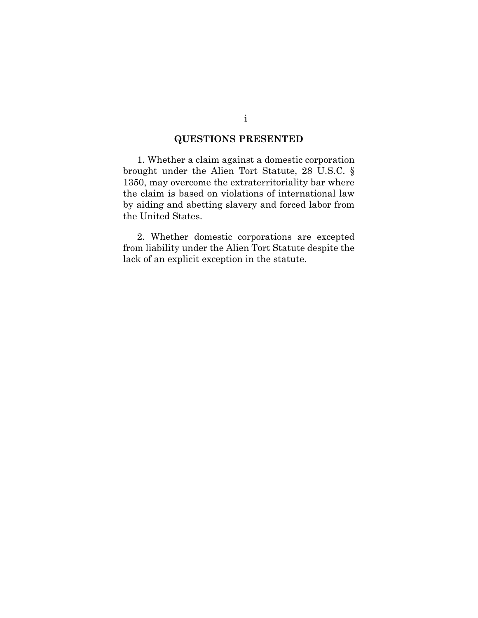## **QUESTIONS PRESENTED**

1. Whether a claim against a domestic corporation brought under the Alien Tort Statute, 28 U.S.C. § 1350, may overcome the extraterritoriality bar where the claim is based on violations of international law by aiding and abetting slavery and forced labor from the United States.

2. Whether domestic corporations are excepted from liability under the Alien Tort Statute despite the lack of an explicit exception in the statute.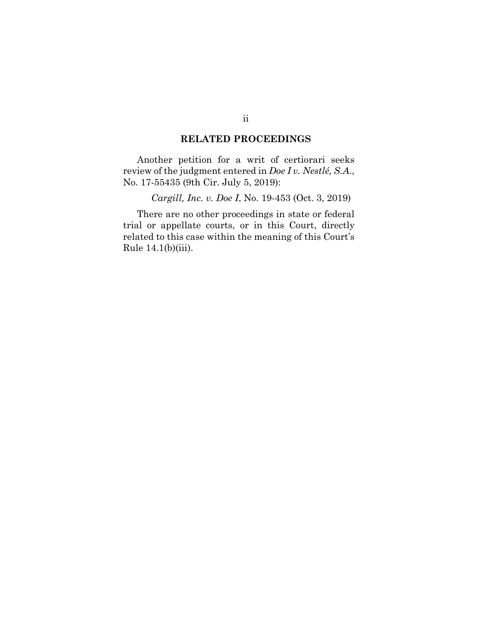### **RELATED PROCEEDINGS**

Another petition for a writ of certiorari seeks review of the judgment entered in *Doe I v. Nestlé, S.A.*, No. 17-55435 (9th Cir. July 5, 2019):

*Cargill, Inc. v. Doe I*, No. 19-453 (Oct. 3, 2019)

There are no other proceedings in state or federal trial or appellate courts, or in this Court, directly related to this case within the meaning of this Court's Rule 14.1(b)(iii).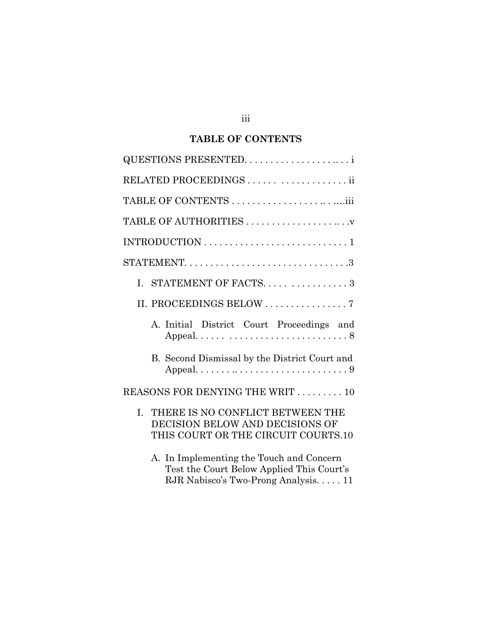## **TABLE OF CONTENTS**

| RELATED PROCEEDINGS   ii                                                                                                      |
|-------------------------------------------------------------------------------------------------------------------------------|
|                                                                                                                               |
|                                                                                                                               |
|                                                                                                                               |
|                                                                                                                               |
| I. STATEMENT OF FACTS3                                                                                                        |
|                                                                                                                               |
| A. Initial District Court Proceedings and                                                                                     |
| B. Second Dismissal by the District Court and                                                                                 |
| REASONS FOR DENYING THE WRIT 10                                                                                               |
| THERE IS NO CONFLICT BETWEEN THE<br>I.<br>DECISION BELOW AND DECISIONS OF<br>THIS COURT OR THE CIRCUIT COURTS.10              |
| A. In Implementing the Touch and Concern<br>Test the Court Below Applied This Court's<br>RJR Nabisco's Two-Prong Analysis. 11 |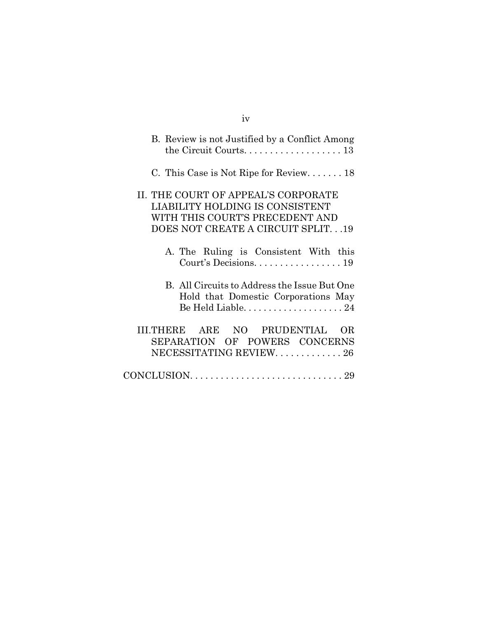| B. Review is not Justified by a Conflict Among                                                                                                 |
|------------------------------------------------------------------------------------------------------------------------------------------------|
| C. This Case is Not Ripe for Review $18$                                                                                                       |
| II. THE COURT OF APPEAL'S CORPORATE<br>LIABILITY HOLDING IS CONSISTENT<br>WITH THIS COURT'S PRECEDENT AND<br>DOES NOT CREATE A CIRCUIT SPLIT19 |
| A. The Ruling is Consistent With this<br>Court's Decisions. 19                                                                                 |
| B. All Circuits to Address the Issue But One<br>Hold that Domestic Corporations May                                                            |
| III.THERE ARE NO PRUDENTIAL<br>OR.<br>SEPARATION OF POWERS CONCERNS<br>NECESSITATING REVIEW. 26                                                |
|                                                                                                                                                |

## iv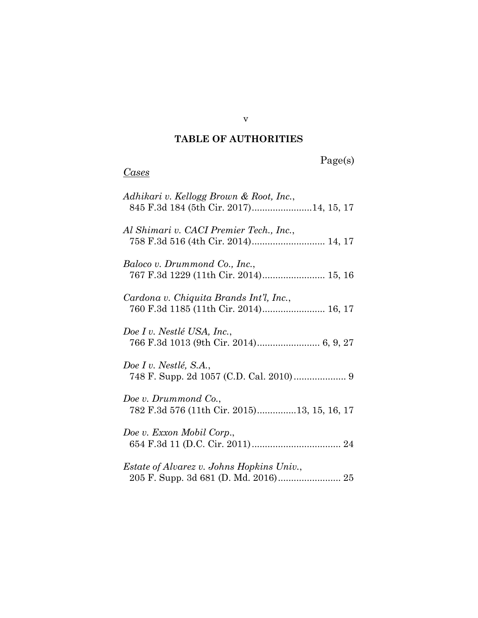## **TABLE OF AUTHORITIES**

# Page(s)

## *Cases*

| Adhikari v. Kellogg Brown & Root, Inc.,<br>845 F.3d 184 (5th Cir. 2017)14, 15, 17 |
|-----------------------------------------------------------------------------------|
| Al Shimari v. CACI Premier Tech., Inc.,<br>758 F.3d 516 (4th Cir. 2014) 14, 17    |
| Baloco v. Drummond Co., Inc.,                                                     |
| Cardona v. Chiquita Brands Int'l, Inc.,<br>760 F.3d 1185 (11th Cir. 2014) 16, 17  |
| Doe I v. Nestlé USA, Inc.,                                                        |
| Doe I v. Nestlé, S.A.,                                                            |
| Doe v. Drummond Co.,<br>782 F.3d 576 (11th Cir. 2015)13, 15, 16, 17               |
| Doe v. Exxon Mobil Corp.,                                                         |
| <i>Estate of Alvarez v. Johns Hopkins Univ.,</i>                                  |

v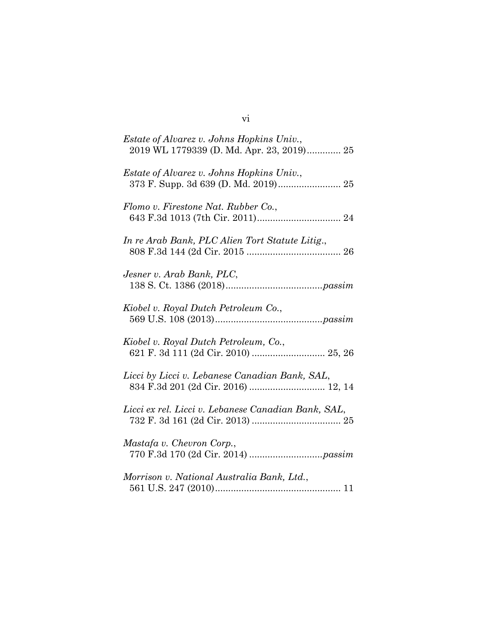| <i>Estate of Alvarez v. Johns Hopkins Univ.,</i><br>2019 WL 1779339 (D. Md. Apr. 23, 2019) 25 |
|-----------------------------------------------------------------------------------------------|
| <i>Estate of Alvarez v. Johns Hopkins Univ.,</i><br>373 F. Supp. 3d 639 (D. Md. 2019) 25      |
| Flomo v. Firestone Nat. Rubber Co.,                                                           |
| In re Arab Bank, PLC Alien Tort Statute Litig.,                                               |
| Jesner v. Arab Bank, PLC,                                                                     |
| Kiobel v. Royal Dutch Petroleum Co.,                                                          |
| Kiobel v. Royal Dutch Petroleum, Co.,<br>621 F. 3d 111 (2d Cir. 2010)  25, 26                 |
| Licci by Licci v. Lebanese Canadian Bank, SAL,                                                |
| Licci ex rel. Licci v. Lebanese Canadian Bank, SAL,                                           |
| Mastafa v. Chevron Corp.,                                                                     |
| Morrison v. National Australia Bank, Ltd.,                                                    |

vi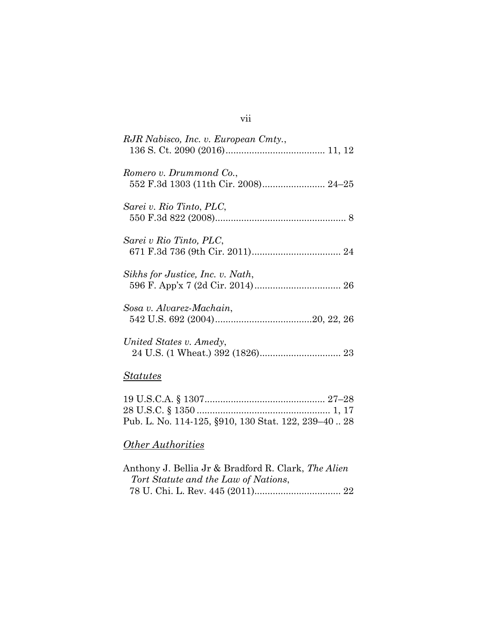## *Statutes*

| Pub. L. No. 114-125, §910, 130 Stat. 122, 239-40 28 |  |
|-----------------------------------------------------|--|

# *Other Authorities*

| Anthony J. Bellia Jr & Bradford R. Clark, The Alien |  |
|-----------------------------------------------------|--|
| Tort Statute and the Law of Nations,                |  |
|                                                     |  |

## vii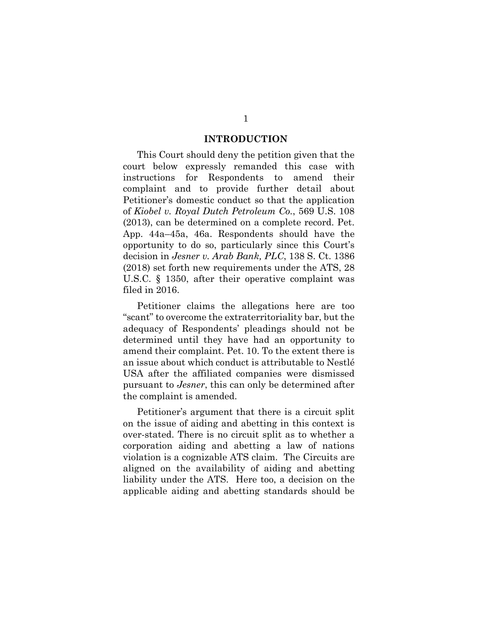#### **INTRODUCTION**

This Court should deny the petition given that the court below expressly remanded this case with instructions for Respondents to amend their complaint and to provide further detail about Petitioner's domestic conduct so that the application of *Kiobel v. Royal Dutch Petroleum Co.*, 569 U.S. 108 (2013), can be determined on a complete record. Pet. App. 44a–45a, 46a. Respondents should have the opportunity to do so, particularly since this Court's decision in *Jesner v. Arab Bank, PLC*, 138 S. Ct. 1386 (2018) set forth new requirements under the ATS, 28 U.S.C. § 1350, after their operative complaint was filed in 2016.

Petitioner claims the allegations here are too "scant" to overcome the extraterritoriality bar, but the adequacy of Respondents' pleadings should not be determined until they have had an opportunity to amend their complaint. Pet. 10. To the extent there is an issue about which conduct is attributable to Nestlé USA after the affiliated companies were dismissed pursuant to *Jesner*, this can only be determined after the complaint is amended.

Petitioner's argument that there is a circuit split on the issue of aiding and abetting in this context is over-stated. There is no circuit split as to whether a corporation aiding and abetting a law of nations violation is a cognizable ATS claim. The Circuits are aligned on the availability of aiding and abetting liability under the ATS. Here too, a decision on the applicable aiding and abetting standards should be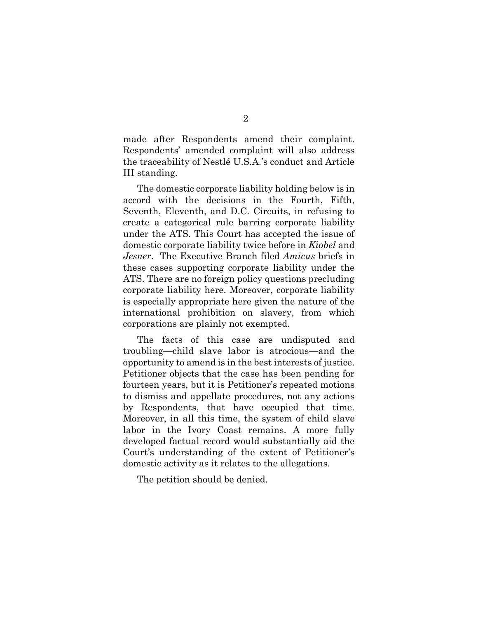made after Respondents amend their complaint. Respondents' amended complaint will also address the traceability of Nestlé U.S.A.'s conduct and Article III standing.

The domestic corporate liability holding below is in accord with the decisions in the Fourth, Fifth, Seventh, Eleventh, and D.C. Circuits, in refusing to create a categorical rule barring corporate liability under the ATS. This Court has accepted the issue of domestic corporate liability twice before in *Kiobel* and *Jesner*. The Executive Branch filed *Amicus* briefs in these cases supporting corporate liability under the ATS. There are no foreign policy questions precluding corporate liability here. Moreover, corporate liability is especially appropriate here given the nature of the international prohibition on slavery, from which corporations are plainly not exempted.

The facts of this case are undisputed and troubling—child slave labor is atrocious—and the opportunity to amend is in the best interests of justice. Petitioner objects that the case has been pending for fourteen years, but it is Petitioner's repeated motions to dismiss and appellate procedures, not any actions by Respondents, that have occupied that time. Moreover, in all this time, the system of child slave labor in the Ivory Coast remains. A more fully developed factual record would substantially aid the Court's understanding of the extent of Petitioner's domestic activity as it relates to the allegations.

The petition should be denied.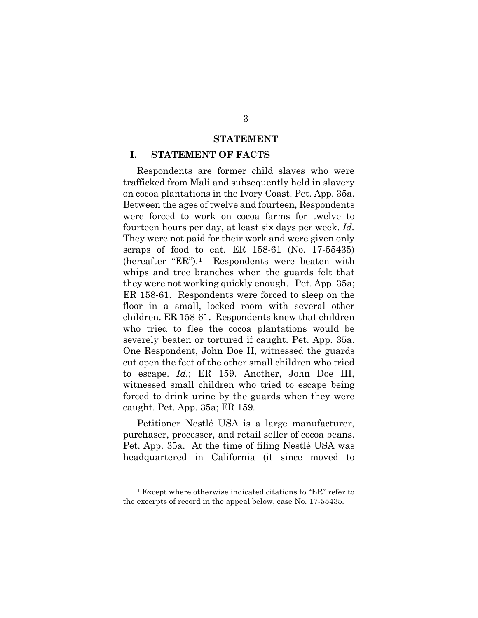#### **STATEMENT**

#### **I. STATEMENT OF FACTS**

Respondents are former child slaves who were trafficked from Mali and subsequently held in slavery on cocoa plantations in the Ivory Coast. Pet. App. 35a. Between the ages of twelve and fourteen, Respondents were forced to work on cocoa farms for twelve to fourteen hours per day, at least six days per week. *Id.* They were not paid for their work and were given only scraps of food to eat. ER 158-61 (No. 17-55435) (hereafter "ER").[1](#page-10-0) Respondents were beaten with whips and tree branches when the guards felt that they were not working quickly enough. Pet. App. 35a; ER 158-61. Respondents were forced to sleep on the floor in a small, locked room with several other children. ER 158-61. Respondents knew that children who tried to flee the cocoa plantations would be severely beaten or tortured if caught. Pet. App. 35a. One Respondent, John Doe II, witnessed the guards cut open the feet of the other small children who tried to escape. *Id.*; ER 159. Another, John Doe III, witnessed small children who tried to escape being forced to drink urine by the guards when they were caught. Pet. App. 35a; ER 159*.*

Petitioner Nestlé USA is a large manufacturer, purchaser, processer, and retail seller of cocoa beans. Pet. App. 35a. At the time of filing Nestlé USA was headquartered in California (it since moved to

<span id="page-10-0"></span><sup>1</sup> Except where otherwise indicated citations to "ER" refer to the excerpts of record in the appeal below, case No. 17-55435.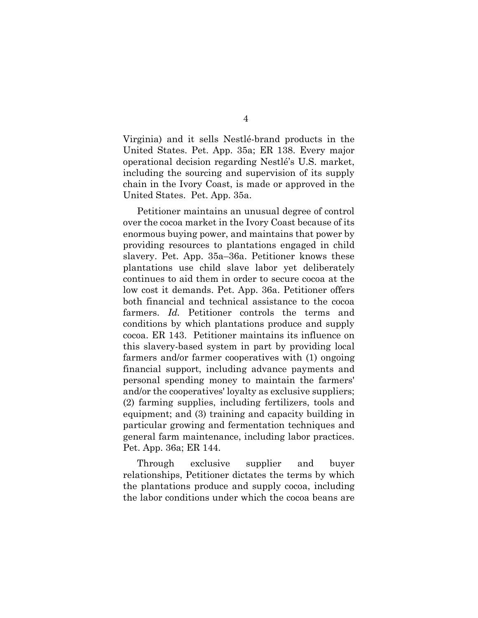Virginia) and it sells Nestlé-brand products in the United States. Pet. App. 35a; ER 138. Every major operational decision regarding Nestlé's U.S. market, including the sourcing and supervision of its supply chain in the Ivory Coast, is made or approved in the United States. Pet. App. 35a.

Petitioner maintains an unusual degree of control over the cocoa market in the Ivory Coast because of its enormous buying power, and maintains that power by providing resources to plantations engaged in child slavery. Pet. App. 35a–36a. Petitioner knows these plantations use child slave labor yet deliberately continues to aid them in order to secure cocoa at the low cost it demands. Pet. App. 36a. Petitioner offers both financial and technical assistance to the cocoa farmers. *Id.* Petitioner controls the terms and conditions by which plantations produce and supply cocoa. ER 143. Petitioner maintains its influence on this slavery-based system in part by providing local farmers and/or farmer cooperatives with (1) ongoing financial support, including advance payments and personal spending money to maintain the farmers' and/or the cooperatives' loyalty as exclusive suppliers; (2) farming supplies, including fertilizers, tools and equipment; and (3) training and capacity building in particular growing and fermentation techniques and general farm maintenance, including labor practices. Pet. App. 36a; ER 144.

Through exclusive supplier and buyer relationships, Petitioner dictates the terms by which the plantations produce and supply cocoa, including the labor conditions under which the cocoa beans are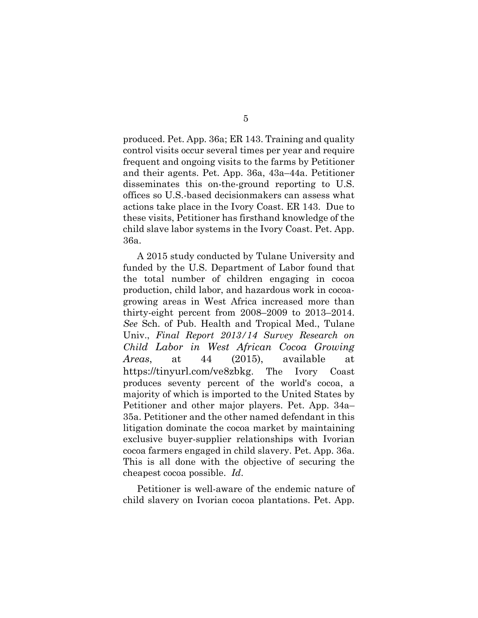produced. Pet. App. 36a; ER 143. Training and quality control visits occur several times per year and require frequent and ongoing visits to the farms by Petitioner and their agents. Pet. App. 36a, 43a–44a. Petitioner disseminates this on-the-ground reporting to U.S. offices so U.S.-based decisionmakers can assess what actions take place in the Ivory Coast. ER 143. Due to these visits, Petitioner has firsthand knowledge of the child slave labor systems in the Ivory Coast. Pet. App. 36a.

A 2015 study conducted by Tulane University and funded by the U.S. Department of Labor found that the total number of children engaging in cocoa production, child labor, and hazardous work in cocoagrowing areas in West Africa increased more than thirty-eight percent from 2008–2009 to 2013–2014. *See* Sch. of Pub. Health and Tropical Med., Tulane Univ., *Final Report 2013/14 Survey Research on Child Labor in West African Cocoa Growing Areas*, at 44 (2015), available at https://tinyurl.com/ve8zbkg. The Ivory Coast produces seventy percent of the world's cocoa, a majority of which is imported to the United States by Petitioner and other major players. Pet. App. 34a– 35a. Petitioner and the other named defendant in this litigation dominate the cocoa market by maintaining exclusive buyer-supplier relationships with Ivorian cocoa farmers engaged in child slavery. Pet. App. 36a. This is all done with the objective of securing the cheapest cocoa possible. *Id*.

Petitioner is well-aware of the endemic nature of child slavery on Ivorian cocoa plantations. Pet. App.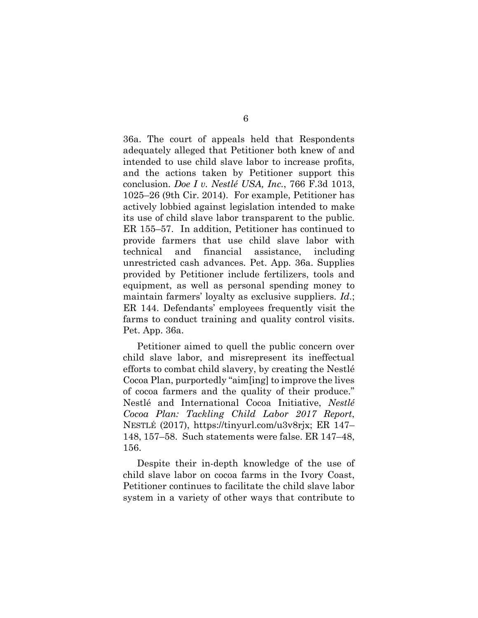36a. The court of appeals held that Respondents adequately alleged that Petitioner both knew of and intended to use child slave labor to increase profits, and the actions taken by Petitioner support this conclusion. *Doe I v. Nestlé USA, Inc.*, 766 F.3d 1013, 1025–26 (9th Cir. 2014). For example, Petitioner has actively lobbied against legislation intended to make its use of child slave labor transparent to the public. ER 155–57. In addition, Petitioner has continued to provide farmers that use child slave labor with technical and financial assistance, including unrestricted cash advances. Pet. App. 36a. Supplies provided by Petitioner include fertilizers, tools and equipment, as well as personal spending money to maintain farmers' loyalty as exclusive suppliers. *Id*.; ER 144. Defendants' employees frequently visit the farms to conduct training and quality control visits. Pet. App. 36a.

Petitioner aimed to quell the public concern over child slave labor, and misrepresent its ineffectual efforts to combat child slavery, by creating the Nestlé Cocoa Plan, purportedly "aim[ing] to improve the lives of cocoa farmers and the quality of their produce." Nestlé and International Cocoa Initiative, *Nestlé Cocoa Plan: Tackling Child Labor 2017 Report*, NESTLÉ (2017), https://tinyurl.com/u3v8rjx; ER 147– 148, 157–58. Such statements were false. ER 147–48, 156.

Despite their in-depth knowledge of the use of child slave labor on cocoa farms in the Ivory Coast, Petitioner continues to facilitate the child slave labor system in a variety of other ways that contribute to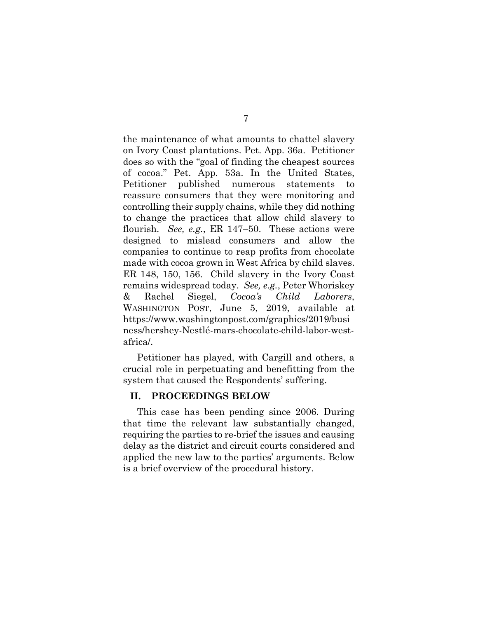the maintenance of what amounts to chattel slavery on Ivory Coast plantations. Pet. App. 36a. Petitioner does so with the "goal of finding the cheapest sources of cocoa." Pet. App. 53a. In the United States, Petitioner published numerous statements to reassure consumers that they were monitoring and controlling their supply chains, while they did nothing to change the practices that allow child slavery to flourish. *See, e.g.*, ER 147–50. These actions were designed to mislead consumers and allow the companies to continue to reap profits from chocolate made with cocoa grown in West Africa by child slaves. ER 148, 150, 156. Child slavery in the Ivory Coast remains widespread today. *See, e.g.*, Peter Whoriskey & Rachel Siegel, *Cocoa's Child Laborers*, WASHINGTON POST, June 5, 2019, available at https://www.washingtonpost.com/graphics/2019/busi ness/hershey-Nestlé-mars-chocolate-child-labor-westafrica/.

Petitioner has played, with Cargill and others, a crucial role in perpetuating and benefitting from the system that caused the Respondents' suffering.

#### **II. PROCEEDINGS BELOW**

This case has been pending since 2006. During that time the relevant law substantially changed, requiring the parties to re-brief the issues and causing delay as the district and circuit courts considered and applied the new law to the parties' arguments. Below is a brief overview of the procedural history.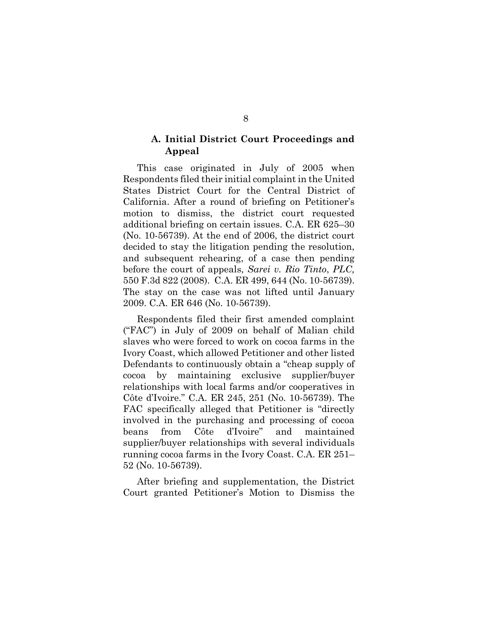## **A. Initial District Court Proceedings and Appeal**

This case originated in July of 2005 when Respondents filed their initial complaint in the United States District Court for the Central District of California. After a round of briefing on Petitioner's motion to dismiss, the district court requested additional briefing on certain issues. C.A. ER 625–30 (No. 10-56739). At the end of 2006, the district court decided to stay the litigation pending the resolution, and subsequent rehearing, of a case then pending before the court of appeals, *Sarei v. Rio Tinto*, *PLC,* 550 F.3d 822 (2008). C.A. ER 499, 644 (No. 10-56739). The stay on the case was not lifted until January 2009. C.A. ER 646 (No. 10-56739).

Respondents filed their first amended complaint ("FAC") in July of 2009 on behalf of Malian child slaves who were forced to work on cocoa farms in the Ivory Coast, which allowed Petitioner and other listed Defendants to continuously obtain a "cheap supply of cocoa by maintaining exclusive supplier/buyer relationships with local farms and/or cooperatives in Côte d'Ivoire." C.A. ER 245, 251 (No. 10-56739). The FAC specifically alleged that Petitioner is "directly involved in the purchasing and processing of cocoa beans from Côte d'Ivoire" and maintained supplier/buyer relationships with several individuals running cocoa farms in the Ivory Coast. C.A. ER 251– 52 (No. 10-56739).

After briefing and supplementation, the District Court granted Petitioner's Motion to Dismiss the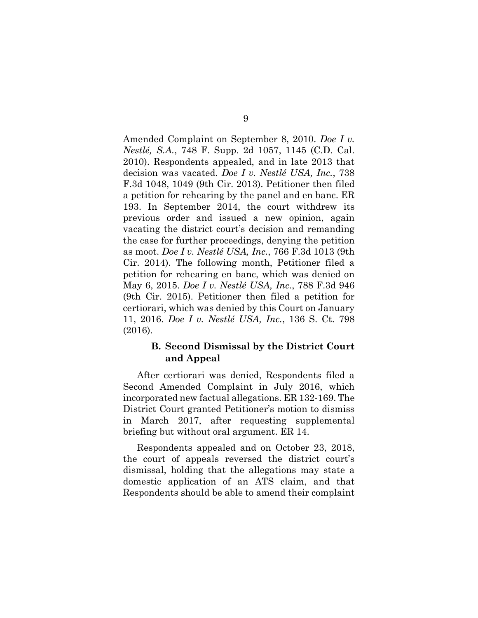Amended Complaint on September 8, 2010. *Doe I v. Nestlé, S.A.*, 748 F. Supp. 2d 1057, 1145 (C.D. Cal. 2010). Respondents appealed, and in late 2013 that decision was vacated. *Doe I v. Nestlé USA, Inc.*, 738 F.3d 1048, 1049 (9th Cir. 2013). Petitioner then filed a petition for rehearing by the panel and en banc. ER 193. In September 2014, the court withdrew its previous order and issued a new opinion, again vacating the district court's decision and remanding the case for further proceedings, denying the petition as moot. *Doe I v. Nestlé USA, Inc.*, 766 F.3d 1013 (9th Cir. 2014). The following month, Petitioner filed a petition for rehearing en banc, which was denied on May 6, 2015. *Doe I v. Nestlé USA, Inc.*, 788 F.3d 946 (9th Cir. 2015). Petitioner then filed a petition for certiorari, which was denied by this Court on January 11, 2016. *Doe I v. Nestlé USA, Inc.*, 136 S. Ct. 798 (2016).

## **B. Second Dismissal by the District Court and Appeal**

After certiorari was denied, Respondents filed a Second Amended Complaint in July 2016, which incorporated new factual allegations. ER 132-169. The District Court granted Petitioner's motion to dismiss in March 2017, after requesting supplemental briefing but without oral argument. ER 14.

Respondents appealed and on October 23, 2018, the court of appeals reversed the district court's dismissal, holding that the allegations may state a domestic application of an ATS claim, and that Respondents should be able to amend their complaint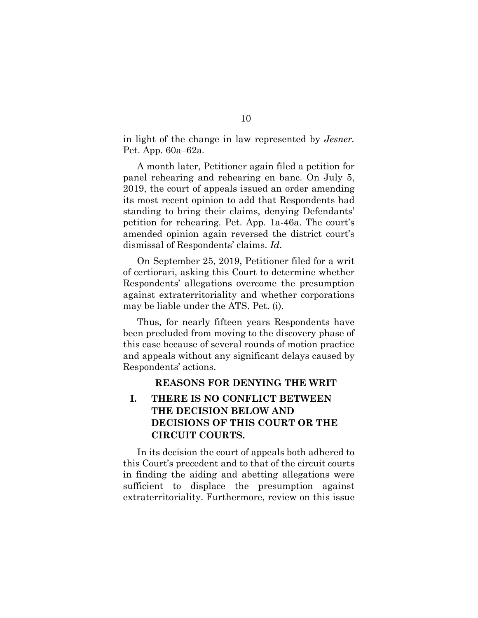in light of the change in law represented by *Jesner.* Pet. App. 60a–62a*.*

A month later, Petitioner again filed a petition for panel rehearing and rehearing en banc. On July 5, 2019, the court of appeals issued an order amending its most recent opinion to add that Respondents had standing to bring their claims, denying Defendants' petition for rehearing. Pet. App. 1a-46a. The court's amended opinion again reversed the district court's dismissal of Respondents' claims. *Id*.

On September 25, 2019, Petitioner filed for a writ of certiorari, asking this Court to determine whether Respondents' allegations overcome the presumption against extraterritoriality and whether corporations may be liable under the ATS. Pet. (i).

Thus, for nearly fifteen years Respondents have been precluded from moving to the discovery phase of this case because of several rounds of motion practice and appeals without any significant delays caused by Respondents' actions.

#### **REASONS FOR DENYING THE WRIT**

## **I. THERE IS NO CONFLICT BETWEEN THE DECISION BELOW AND DECISIONS OF THIS COURT OR THE CIRCUIT COURTS.**

In its decision the court of appeals both adhered to this Court's precedent and to that of the circuit courts in finding the aiding and abetting allegations were sufficient to displace the presumption against extraterritoriality. Furthermore, review on this issue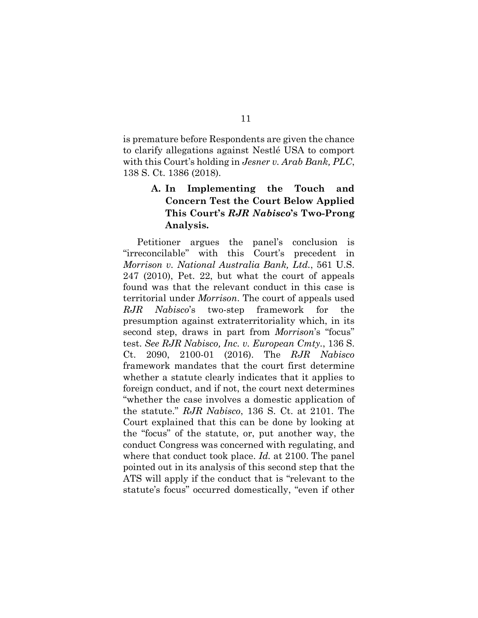is premature before Respondents are given the chance to clarify allegations against Nestlé USA to comport with this Court's holding in *Jesner v. Arab Bank, PLC*, 138 S. Ct. 1386 (2018).

## **A. In Implementing the Touch and Concern Test the Court Below Applied This Court's** *RJR Nabisco***'s Two-Prong Analysis.**

Petitioner argues the panel's conclusion is "irreconcilable" with this Court's precedent in *Morrison v. National Australia Bank, Ltd.*, 561 U.S. 247 (2010), Pet. 22, but what the court of appeals found was that the relevant conduct in this case is territorial under *Morrison*. The court of appeals used *RJR Nabisco*'s two-step framework for the presumption against extraterritoriality which, in its second step, draws in part from *Morrison*'s "focus" test. *See RJR Nabisco, Inc. v. European Cmty.*, 136 S. Ct. 2090, 2100-01 (2016). The *RJR Nabisco* framework mandates that the court first determine whether a statute clearly indicates that it applies to foreign conduct, and if not, the court next determines "whether the case involves a domestic application of the statute." *RJR Nabisco*, 136 S. Ct. at 2101. The Court explained that this can be done by looking at the "focus" of the statute, or, put another way, the conduct Congress was concerned with regulating, and where that conduct took place. *Id.* at 2100. The panel pointed out in its analysis of this second step that the ATS will apply if the conduct that is "relevant to the statute's focus" occurred domestically, "even if other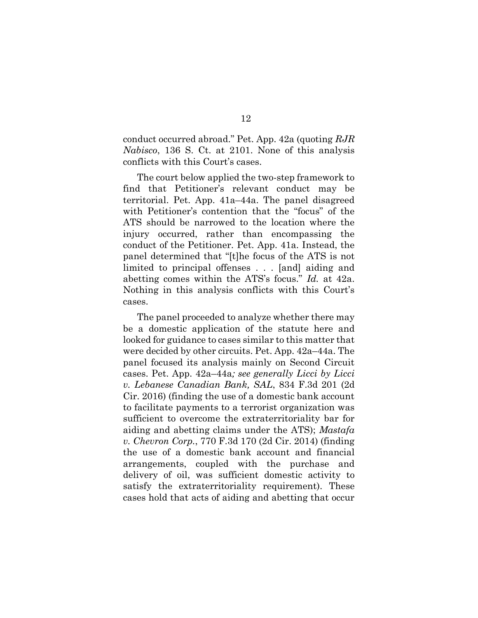conduct occurred abroad." Pet. App. 42a (quoting *RJR Nabisco*, 136 S. Ct. at 2101. None of this analysis conflicts with this Court's cases.

The court below applied the two-step framework to find that Petitioner's relevant conduct may be territorial. Pet. App. 41a–44a. The panel disagreed with Petitioner's contention that the "focus" of the ATS should be narrowed to the location where the injury occurred, rather than encompassing the conduct of the Petitioner. Pet. App. 41a. Instead, the panel determined that "[t]he focus of the ATS is not limited to principal offenses . . . [and] aiding and abetting comes within the ATS's focus." *Id.* at 42a. Nothing in this analysis conflicts with this Court's cases.

The panel proceeded to analyze whether there may be a domestic application of the statute here and looked for guidance to cases similar to this matter that were decided by other circuits. Pet. App. 42a–44a. The panel focused its analysis mainly on Second Circuit cases. Pet. App. 42a–44a*; see generally Licci by Licci v. Lebanese Canadian Bank, SAL*, 834 F.3d 201 (2d Cir. 2016) (finding the use of a domestic bank account to facilitate payments to a terrorist organization was sufficient to overcome the extraterritoriality bar for aiding and abetting claims under the ATS); *Mastafa v. Chevron Corp.*, 770 F.3d 170 (2d Cir. 2014) (finding the use of a domestic bank account and financial arrangements, coupled with the purchase and delivery of oil, was sufficient domestic activity to satisfy the extraterritoriality requirement). These cases hold that acts of aiding and abetting that occur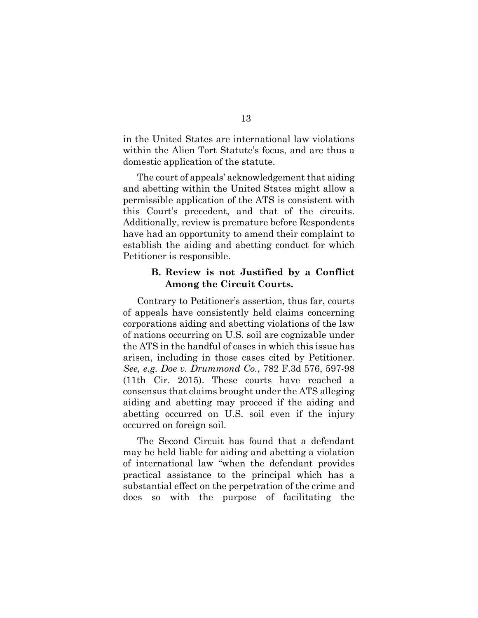in the United States are international law violations within the Alien Tort Statute's focus, and are thus a domestic application of the statute.

The court of appeals' acknowledgement that aiding and abetting within the United States might allow a permissible application of the ATS is consistent with this Court's precedent, and that of the circuits. Additionally, review is premature before Respondents have had an opportunity to amend their complaint to establish the aiding and abetting conduct for which Petitioner is responsible.

### **B. Review is not Justified by a Conflict Among the Circuit Courts.**

Contrary to Petitioner's assertion, thus far, courts of appeals have consistently held claims concerning corporations aiding and abetting violations of the law of nations occurring on U.S. soil are cognizable under the ATS in the handful of cases in which this issue has arisen, including in those cases cited by Petitioner. *See, e.g. Doe v. Drummond Co.*, 782 F.3d 576, 597-98 (11th Cir. 2015). These courts have reached a consensus that claims brought under the ATS alleging aiding and abetting may proceed if the aiding and abetting occurred on U.S. soil even if the injury occurred on foreign soil.

The Second Circuit has found that a defendant may be held liable for aiding and abetting a violation of international law "when the defendant provides practical assistance to the principal which has a substantial effect on the perpetration of the crime and does so with the purpose of facilitating the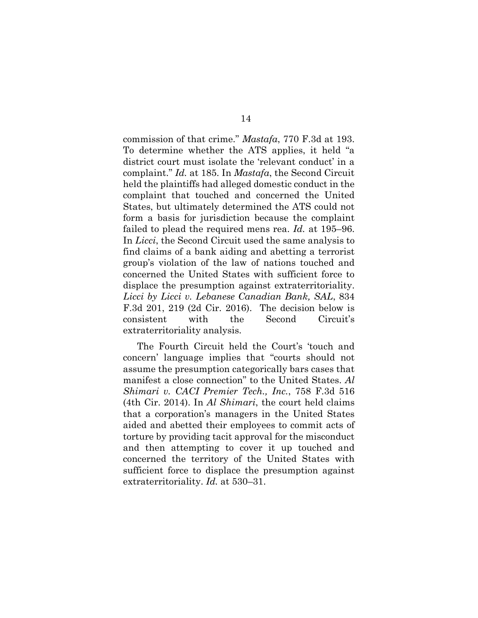commission of that crime." *Mastafa*, 770 F.3d at 193. To determine whether the ATS applies, it held "a district court must isolate the 'relevant conduct' in a complaint." *Id.* at 185. In *Mastafa*, the Second Circuit held the plaintiffs had alleged domestic conduct in the complaint that touched and concerned the United States, but ultimately determined the ATS could not form a basis for jurisdiction because the complaint failed to plead the required mens rea. *Id.* at 195–96. In *Licci*, the Second Circuit used the same analysis to find claims of a bank aiding and abetting a terrorist group's violation of the law of nations touched and concerned the United States with sufficient force to displace the presumption against extraterritoriality. *Licci by Licci v. Lebanese Canadian Bank, SAL*, 834 F.3d 201, 219 (2d Cir. 2016). The decision below is consistent with the Second Circuit's extraterritoriality analysis.

The Fourth Circuit held the Court's 'touch and concern' language implies that "courts should not assume the presumption categorically bars cases that manifest a close connection" to the United States. *Al Shimari v. CACI Premier Tech., Inc.*, 758 F.3d 516 (4th Cir. 2014). In *Al Shimari*, the court held claims that a corporation's managers in the United States aided and abetted their employees to commit acts of torture by providing tacit approval for the misconduct and then attempting to cover it up touched and concerned the territory of the United States with sufficient force to displace the presumption against extraterritoriality. *Id.* at 530–31.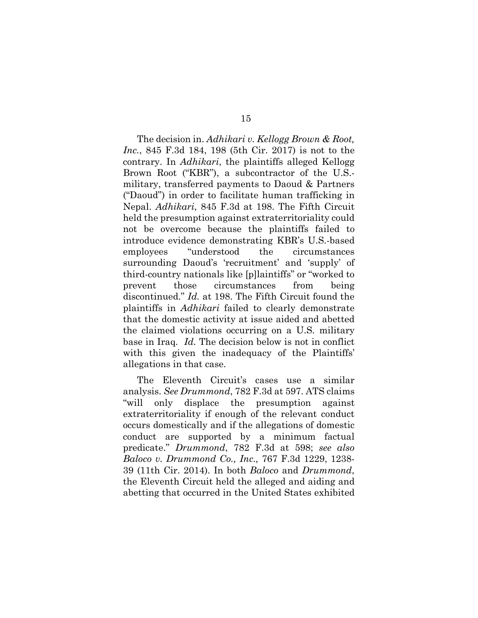The decision in. *Adhikari v. Kellogg Brown & Root, Inc.*, 845 F.3d 184, 198 (5th Cir. 2017) is not to the contrary. In *Adhikari*, the plaintiffs alleged Kellogg Brown Root ("KBR"), a subcontractor of the U.S. military, transferred payments to Daoud & Partners ("Daoud") in order to facilitate human trafficking in Nepal. *Adhikari*, 845 F.3d at 198. The Fifth Circuit held the presumption against extraterritoriality could not be overcome because the plaintiffs failed to introduce evidence demonstrating KBR's U.S.-based employees "understood the circumstances surrounding Daoud's 'recruitment' and 'supply' of third-country nationals like [p]laintiffs" or "worked to prevent those circumstances from being discontinued." *Id.* at 198. The Fifth Circuit found the plaintiffs in *Adhikari* failed to clearly demonstrate that the domestic activity at issue aided and abetted the claimed violations occurring on a U.S. military base in Iraq. *Id.* The decision below is not in conflict with this given the inadequacy of the Plaintiffs' allegations in that case.

The Eleventh Circuit's cases use a similar analysis. *See Drummond*, 782 F.3d at 597. ATS claims "will only displace the presumption against extraterritoriality if enough of the relevant conduct occurs domestically and if the allegations of domestic conduct are supported by a minimum factual predicate." *Drummond*, 782 F.3d at 598; *see also Baloco v. Drummond Co., Inc.,* 767 F.3d 1229, 1238- 39 (11th Cir. 2014). In both *Baloco* and *Drummond*, the Eleventh Circuit held the alleged and aiding and abetting that occurred in the United States exhibited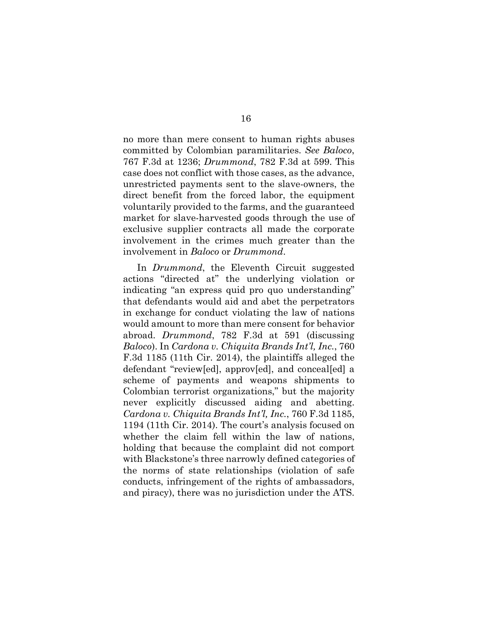no more than mere consent to human rights abuses committed by Colombian paramilitaries. *See Baloco*, 767 F.3d at 1236; *Drummond*, 782 F.3d at 599. This case does not conflict with those cases, as the advance, unrestricted payments sent to the slave-owners, the direct benefit from the forced labor, the equipment voluntarily provided to the farms, and the guaranteed market for slave-harvested goods through the use of exclusive supplier contracts all made the corporate involvement in the crimes much greater than the involvement in *Baloco* or *Drummond*.

In *Drummond*, the Eleventh Circuit suggested actions "directed at" the underlying violation or indicating "an express quid pro quo understanding" that defendants would aid and abet the perpetrators in exchange for conduct violating the law of nations would amount to more than mere consent for behavior abroad. *Drummond*, 782 F.3d at 591 (discussing *Baloco*). In *Cardona v. Chiquita Brands Int'l, Inc.*, 760 F.3d 1185 (11th Cir. 2014), the plaintiffs alleged the defendant "review[ed], approv[ed], and conceal[ed] a scheme of payments and weapons shipments to Colombian terrorist organizations," but the majority never explicitly discussed aiding and abetting. *Cardona v. Chiquita Brands Int'l, Inc.*, 760 F.3d 1185, 1194 (11th Cir. 2014). The court's analysis focused on whether the claim fell within the law of nations, holding that because the complaint did not comport with Blackstone's three narrowly defined categories of the norms of state relationships (violation of safe conducts, infringement of the rights of ambassadors, and piracy), there was no jurisdiction under the ATS.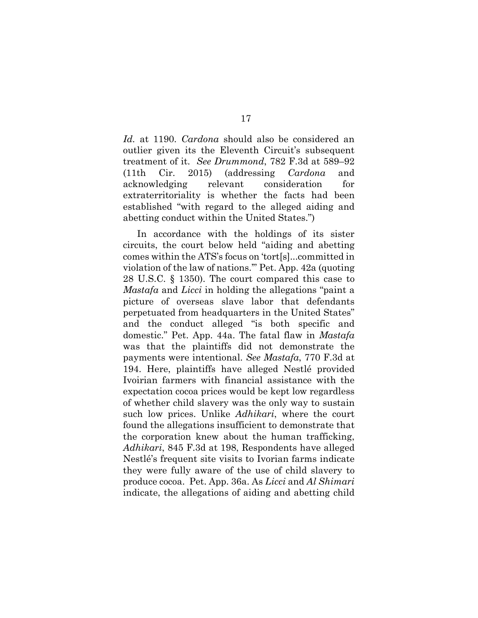*Id.* at 1190. *Cardona* should also be considered an outlier given its the Eleventh Circuit's subsequent treatment of it. *See Drummond*, 782 F.3d at 589–92 (11th Cir. 2015) (addressing *Cardona* and acknowledging relevant consideration for extraterritoriality is whether the facts had been established "with regard to the alleged aiding and abetting conduct within the United States.")

In accordance with the holdings of its sister circuits, the court below held "aiding and abetting comes within the ATS's focus on 'tort[s]...committed in violation of the law of nations.'" Pet. App. 42a (quoting 28 U.S.C. § 1350). The court compared this case to *Mastafa* and *Licci* in holding the allegations "paint a picture of overseas slave labor that defendants perpetuated from headquarters in the United States" and the conduct alleged "is both specific and domestic." Pet. App. 44a. The fatal flaw in *Mastafa*  was that the plaintiffs did not demonstrate the payments were intentional. *See Mastafa*, 770 F.3d at 194. Here, plaintiffs have alleged Nestlé provided Ivoirian farmers with financial assistance with the expectation cocoa prices would be kept low regardless of whether child slavery was the only way to sustain such low prices. Unlike *Adhikari*, where the court found the allegations insufficient to demonstrate that the corporation knew about the human trafficking, *Adhikari*, 845 F.3d at 198, Respondents have alleged Nestlé's frequent site visits to Ivorian farms indicate they were fully aware of the use of child slavery to produce cocoa. Pet. App. 36a. As *Licci* and *Al Shimari*  indicate, the allegations of aiding and abetting child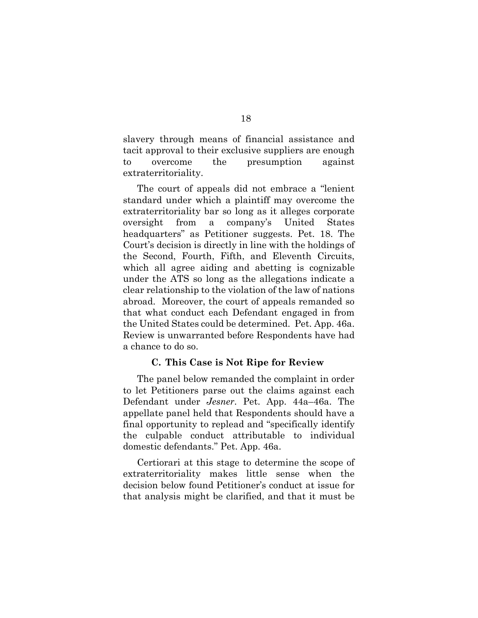slavery through means of financial assistance and tacit approval to their exclusive suppliers are enough to overcome the presumption against extraterritoriality.

The court of appeals did not embrace a "lenient standard under which a plaintiff may overcome the extraterritoriality bar so long as it alleges corporate oversight from a company's United States headquarters" as Petitioner suggests. Pet. 18. The Court's decision is directly in line with the holdings of the Second, Fourth, Fifth, and Eleventh Circuits, which all agree aiding and abetting is cognizable under the ATS so long as the allegations indicate a clear relationship to the violation of the law of nations abroad. Moreover, the court of appeals remanded so that what conduct each Defendant engaged in from the United States could be determined. Pet. App. 46a. Review is unwarranted before Respondents have had a chance to do so.

#### **C. This Case is Not Ripe for Review**

The panel below remanded the complaint in order to let Petitioners parse out the claims against each Defendant under *Jesner*. Pet. App. 44a–46a. The appellate panel held that Respondents should have a final opportunity to replead and "specifically identify the culpable conduct attributable to individual domestic defendants." Pet. App. 46a.

Certiorari at this stage to determine the scope of extraterritoriality makes little sense when the decision below found Petitioner's conduct at issue for that analysis might be clarified, and that it must be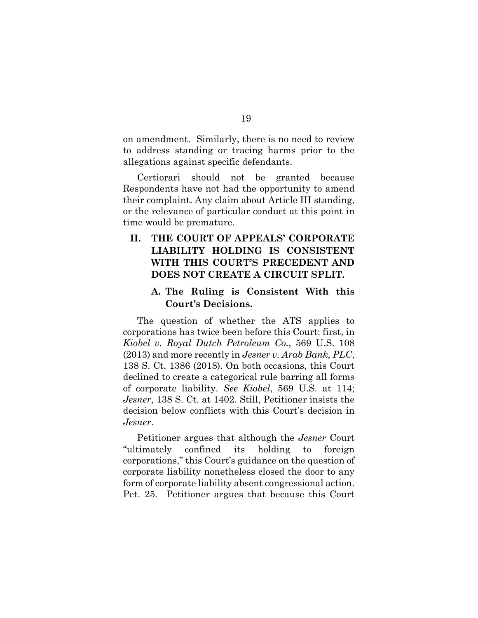on amendment. Similarly, there is no need to review to address standing or tracing harms prior to the allegations against specific defendants.

Certiorari should not be granted because Respondents have not had the opportunity to amend their complaint. Any claim about Article III standing, or the relevance of particular conduct at this point in time would be premature.

## **II. THE COURT OF APPEALS' CORPORATE LIABILITY HOLDING IS CONSISTENT WITH THIS COURT'S PRECEDENT AND DOES NOT CREATE A CIRCUIT SPLIT.**

## **A. The Ruling is Consistent With this Court's Decisions.**

The question of whether the ATS applies to corporations has twice been before this Court: first, in *Kiobel v. Royal Dutch Petroleum Co.*, 569 U.S. 108 (2013) and more recently in *Jesner v. Arab Bank, PLC*, 138 S. Ct. 1386 (2018). On both occasions, this Court declined to create a categorical rule barring all forms of corporate liability. *See Kiobel*, 569 U.S. at 114; *Jesner*, 138 S. Ct. at 1402. Still, Petitioner insists the decision below conflicts with this Court's decision in *Jesner*.

Petitioner argues that although the *Jesner* Court "ultimately confined its holding to foreign corporations," this Court's guidance on the question of corporate liability nonetheless closed the door to any form of corporate liability absent congressional action. Pet. 25. Petitioner argues that because this Court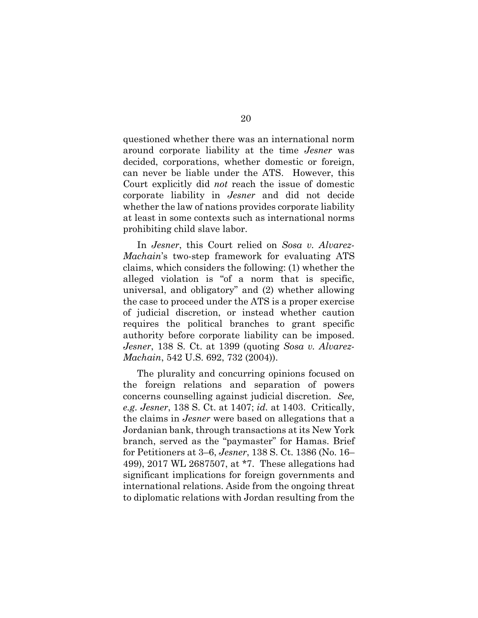questioned whether there was an international norm around corporate liability at the time *Jesner* was decided, corporations, whether domestic or foreign, can never be liable under the ATS. However, this Court explicitly did *not* reach the issue of domestic corporate liability in *Jesner* and did not decide whether the law of nations provides corporate liability at least in some contexts such as international norms prohibiting child slave labor.

In *Jesner*, this Court relied on *Sosa v. Alvarez-Machain*'s two-step framework for evaluating ATS claims, which considers the following: (1) whether the alleged violation is "of a norm that is specific, universal, and obligatory" and (2) whether allowing the case to proceed under the ATS is a proper exercise of judicial discretion, or instead whether caution requires the political branches to grant specific authority before corporate liability can be imposed. *Jesner*, 138 S. Ct. at 1399 (quoting *Sosa v. Alvarez-Machain*, 542 U.S. 692, 732 (2004)).

The plurality and concurring opinions focused on the foreign relations and separation of powers concerns counselling against judicial discretion. *See, e.g. Jesner*, 138 S. Ct. at 1407; *id.* at 1403. Critically, the claims in *Jesner* were based on allegations that a Jordanian bank, through transactions at its New York branch, served as the "paymaster" for Hamas. Brief for Petitioners at 3–6, *Jesner*, 138 S. Ct. 1386 (No. 16– 499), 2017 WL 2687507, at \*7. These allegations had significant implications for foreign governments and international relations. Aside from the ongoing threat to diplomatic relations with Jordan resulting from the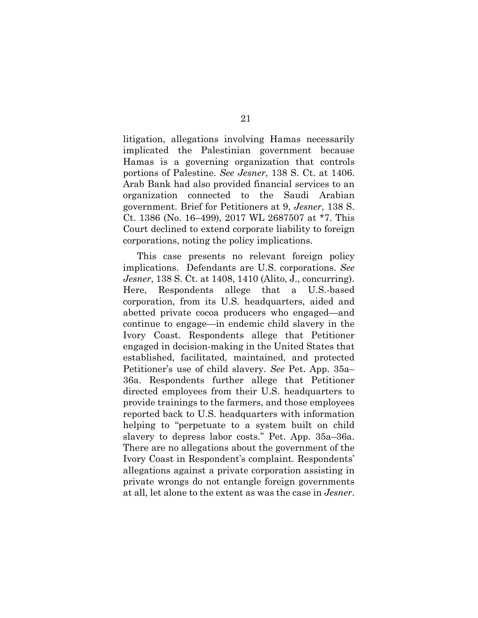litigation, allegations involving Hamas necessarily implicated the Palestinian government because Hamas is a governing organization that controls portions of Palestine. *See Jesner*, 138 S. Ct. at 1406. Arab Bank had also provided financial services to an organization connected to the Saudi Arabian government. Brief for Petitioners at 9, *Jesner*, 138 S. Ct. 1386 (No. 16–499), 2017 WL 2687507 at \*7. This Court declined to extend corporate liability to foreign corporations, noting the policy implications.

This case presents no relevant foreign policy implications. Defendants are U.S. corporations. *See Jesner*, 138 S. Ct. at 1408, 1410 (Alito, J., concurring). Here, Respondents allege that a U.S.-based corporation, from its U.S. headquarters, aided and abetted private cocoa producers who engaged—and continue to engage—in endemic child slavery in the Ivory Coast. Respondents allege that Petitioner engaged in decision-making in the United States that established, facilitated, maintained, and protected Petitioner's use of child slavery. *See* Pet. App. 35a– 36a. Respondents further allege that Petitioner directed employees from their U.S. headquarters to provide trainings to the farmers, and those employees reported back to U.S. headquarters with information helping to "perpetuate to a system built on child slavery to depress labor costs." Pet. App. 35a–36a. There are no allegations about the government of the Ivory Coast in Respondent's complaint. Respondents' allegations against a private corporation assisting in private wrongs do not entangle foreign governments at all, let alone to the extent as was the case in *Jesner*.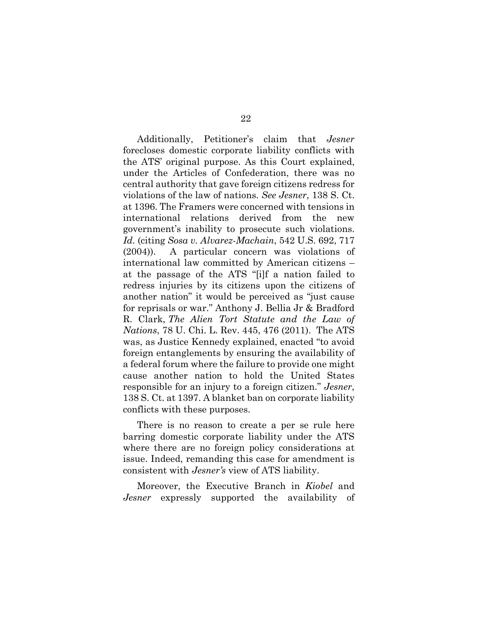Additionally, Petitioner's claim that *Jesner* forecloses domestic corporate liability conflicts with the ATS' original purpose. As this Court explained, under the Articles of Confederation, there was no central authority that gave foreign citizens redress for violations of the law of nations. *See Jesner*, 138 S. Ct. at 1396. The Framers were concerned with tensions in international relations derived from the new government's inability to prosecute such violations. *Id.* (citing *Sosa v. Alvarez-Machain*, 542 U.S. 692, 717 (2004)). A particular concern was violations of international law committed by American citizens – at the passage of the ATS "[i]f a nation failed to redress injuries by its citizens upon the citizens of another nation" it would be perceived as "just cause for reprisals or war." Anthony J. Bellia Jr & Bradford R. Clark, *The Alien Tort Statute and the Law of Nations*, 78 U. Chi. L. Rev. 445, 476 (2011). The ATS was, as Justice Kennedy explained, enacted "to avoid foreign entanglements by ensuring the availability of a federal forum where the failure to provide one might cause another nation to hold the United States responsible for an injury to a foreign citizen." *Jesner*, 138 S. Ct. at 1397. A blanket ban on corporate liability conflicts with these purposes.

There is no reason to create a per se rule here barring domestic corporate liability under the ATS where there are no foreign policy considerations at issue. Indeed, remanding this case for amendment is consistent with *Jesner's* view of ATS liability.

Moreover, the Executive Branch in *Kiobel* and *Jesner* expressly supported the availability of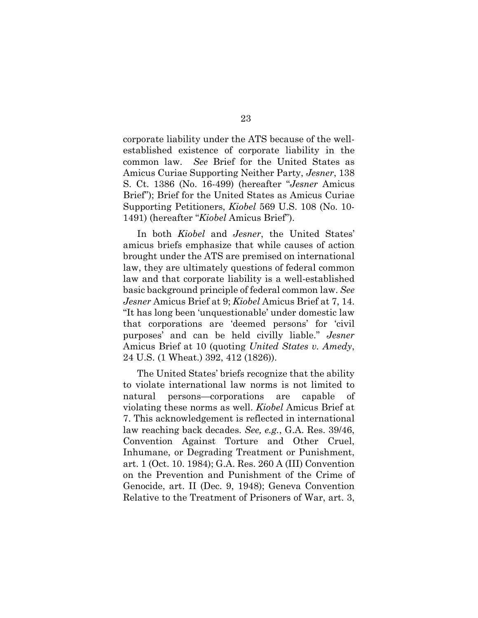corporate liability under the ATS because of the wellestablished existence of corporate liability in the common law. *See* Brief for the United States as Amicus Curiae Supporting Neither Party, *Jesner*, 138 S. Ct. 1386 (No. 16-499) (hereafter "*Jesner* Amicus Brief"); Brief for the United States as Amicus Curiae Supporting Petitioners, *Kiobel* 569 U.S. 108 (No. 10- 1491) (hereafter "*Kiobel* Amicus Brief").

In both *Kiobel* and *Jesner*, the United States' amicus briefs emphasize that while causes of action brought under the ATS are premised on international law, they are ultimately questions of federal common law and that corporate liability is a well-established basic background principle of federal common law. *See Jesner* Amicus Brief at 9; *Kiobel* Amicus Brief at 7, 14. "It has long been 'unquestionable' under domestic law that corporations are 'deemed persons' for 'civil purposes' and can be held civilly liable." *Jesner* Amicus Brief at 10 (quoting *United States v. Amedy*, 24 U.S. (1 Wheat.) 392, 412 (1826)).

The United States' briefs recognize that the ability to violate international law norms is not limited to natural persons—corporations are capable of violating these norms as well. *Kiobel* Amicus Brief at 7. This acknowledgement is reflected in international law reaching back decades. *See, e.g.*, G.A. Res. 39/46, Convention Against Torture and Other Cruel, Inhumane, or Degrading Treatment or Punishment, art. 1 (Oct. 10. 1984); G.A. Res. 260 A (III) Convention on the Prevention and Punishment of the Crime of Genocide, art. II (Dec. 9, 1948); Geneva Convention Relative to the Treatment of Prisoners of War, art. 3,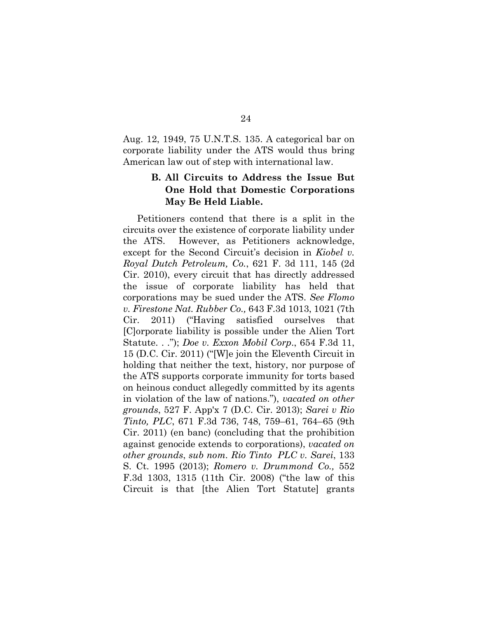Aug. 12, 1949, 75 U.N.T.S. 135. A categorical bar on corporate liability under the ATS would thus bring American law out of step with international law.

## **B. All Circuits to Address the Issue But One Hold that Domestic Corporations May Be Held Liable.**

Petitioners contend that there is a split in the circuits over the existence of corporate liability under the ATS. However, as Petitioners acknowledge, except for the Second Circuit's decision in *Kiobel v. Royal Dutch Petroleum, Co.*, 621 F. 3d 111, 145 (2d Cir. 2010), every circuit that has directly addressed the issue of corporate liability has held that corporations may be sued under the ATS. *See Flomo v. Firestone Nat. Rubber Co.,* 643 F.3d 1013, 1021 (7th Cir. 2011) ("Having satisfied ourselves that [C]orporate liability is possible under the Alien Tort Statute. . ."); *Doe v. Exxon Mobil Corp*., 654 F.3d 11, 15 (D.C. Cir. 2011) ("[W]e join the Eleventh Circuit in holding that neither the text, history, nor purpose of the ATS supports corporate immunity for torts based on heinous conduct allegedly committed by its agents in violation of the law of nations."), *vacated on other grounds*, 527 F. App'x 7 (D.C. Cir. 2013); *Sarei v Rio Tinto, PLC*, 671 F.3d 736, 748, 759–61, 764–65 (9th Cir. 2011) (en banc) (concluding that the prohibition against genocide extends to corporations), *vacated on other grounds*, *sub nom. Rio Tinto PLC v. Sarei*, 133 S. Ct. 1995 (2013); *Romero v. Drummond Co.,* 552 F.3d 1303, 1315 (11th Cir. 2008) ("the law of this Circuit is that [the Alien Tort Statute] grants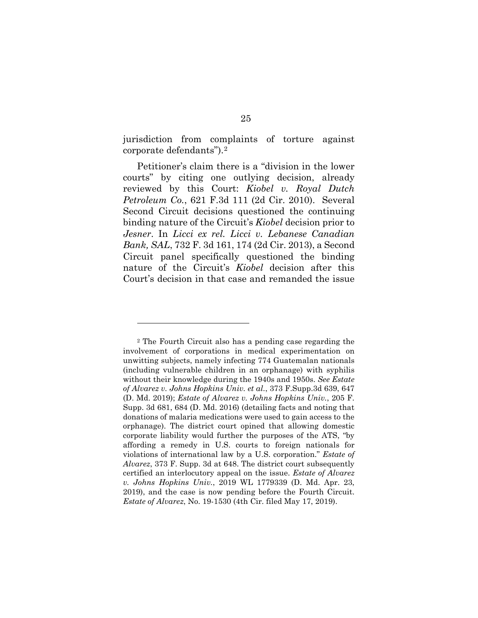jurisdiction from complaints of torture against corporate defendants").[2](#page-32-0) 

Petitioner's claim there is a "division in the lower courts" by citing one outlying decision, already reviewed by this Court: *Kiobel v. Royal Dutch Petroleum Co.*, 621 F.3d 111 (2d Cir. 2010). Several Second Circuit decisions questioned the continuing binding nature of the Circuit's *Kiobel* decision prior to *Jesner*. In *Licci ex rel. Licci v. Lebanese Canadian Bank, SAL*, 732 F. 3d 161, 174 (2d Cir. 2013), a Second Circuit panel specifically questioned the binding nature of the Circuit's *Kiobel* decision after this Court's decision in that case and remanded the issue

<span id="page-32-0"></span><sup>2</sup> The Fourth Circuit also has a pending case regarding the involvement of corporations in medical experimentation on unwitting subjects, namely infecting 774 Guatemalan nationals (including vulnerable children in an orphanage) with syphilis without their knowledge during the 1940s and 1950s. *See Estate of Alvarez v. Johns Hopkins Univ. et al.*, 373 F.Supp.3d 639, 647 (D. Md. 2019); *Estate of Alvarez v. Johns Hopkins Univ.*, 205 F. Supp. 3d 681, 684 (D. Md. 2016) (detailing facts and noting that donations of malaria medications were used to gain access to the orphanage). The district court opined that allowing domestic corporate liability would further the purposes of the ATS, "by affording a remedy in U.S. courts to foreign nationals for violations of international law by a U.S. corporation." *Estate of Alvarez*, 373 F. Supp. 3d at 648. The district court subsequently certified an interlocutory appeal on the issue. *Estate of Alvarez v. Johns Hopkins Univ.*, 2019 WL 1779339 (D. Md. Apr. 23, 2019), and the case is now pending before the Fourth Circuit. *Estate of Alvarez*, No. 19-1530 (4th Cir. filed May 17, 2019).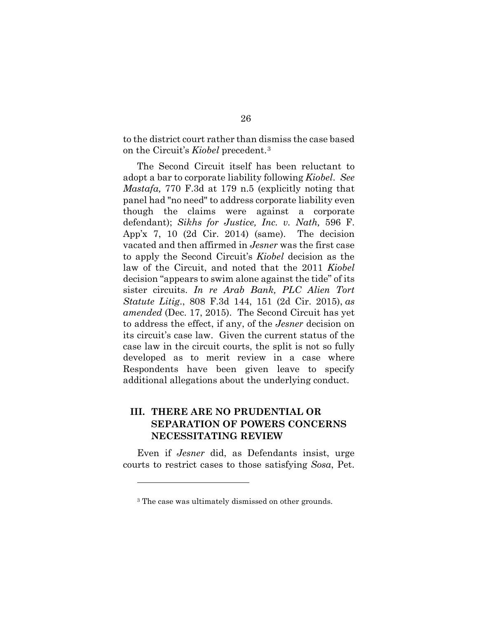to the district court rather than dismiss the case based on the Circuit's *Kiobel* precedent.[3](#page-33-0)

The Second Circuit itself has been reluctant to adopt a bar to corporate liability following *Kiobel*. *See Mastafa,* 770 F.3d at 179 n.5 (explicitly noting that panel had "no need" to address corporate liability even though the claims were against a corporate defendant); *Sikhs for Justice, Inc. v. Nath,* 596 F. App'x 7, 10 (2d Cir. 2014) (same). The decision vacated and then affirmed in *Jesner* was the first case to apply the Second Circuit's *Kiobel* decision as the law of the Circuit, and noted that the 2011 *Kiobel*  decision "appears to swim alone against the tide" of its sister circuits. *In re Arab Bank, PLC Alien Tort Statute Litig*., 808 F.3d 144, 151 (2d Cir. 2015), *as amended* (Dec. 17, 2015). The Second Circuit has yet to address the effect, if any, of the *Jesner* decision on its circuit's case law. Given the current status of the case law in the circuit courts, the split is not so fully developed as to merit review in a case where Respondents have been given leave to specify additional allegations about the underlying conduct.

## **III. THERE ARE NO PRUDENTIAL OR SEPARATION OF POWERS CONCERNS NECESSITATING REVIEW**

<span id="page-33-0"></span>Even if *Jesner* did, as Defendants insist, urge courts to restrict cases to those satisfying *Sosa*, Pet.

<sup>3</sup> The case was ultimately dismissed on other grounds.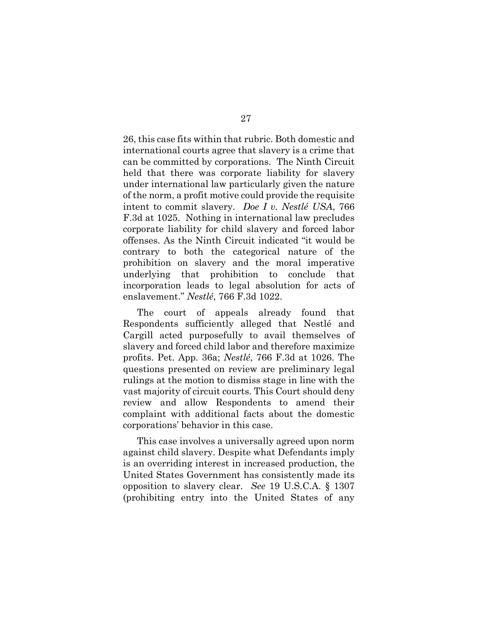26, this case fits within that rubric. Both domestic and international courts agree that slavery is a crime that can be committed by corporations. The Ninth Circuit held that there was corporate liability for slavery under international law particularly given the nature of the norm, a profit motive could provide the requisite intent to commit slavery. *Doe I v. Nestlé USA*, 766 F.3d at 1025. Nothing in international law precludes corporate liability for child slavery and forced labor offenses. As the Ninth Circuit indicated "it would be contrary to both the categorical nature of the prohibition on slavery and the moral imperative underlying that prohibition to conclude that incorporation leads to legal absolution for acts of enslavement." *Nestlé*, 766 F.3d 1022.

The court of appeals already found that Respondents sufficiently alleged that Nestlé and Cargill acted purposefully to avail themselves of slavery and forced child labor and therefore maximize profits. Pet. App. 36a; *Nestlé*, 766 F.3d at 1026. The questions presented on review are preliminary legal rulings at the motion to dismiss stage in line with the vast majority of circuit courts. This Court should deny review and allow Respondents to amend their complaint with additional facts about the domestic corporations' behavior in this case.

This case involves a universally agreed upon norm against child slavery. Despite what Defendants imply is an overriding interest in increased production, the United States Government has consistently made its opposition to slavery clear. *See* 19 U.S.C.A. § 1307 (prohibiting entry into the United States of any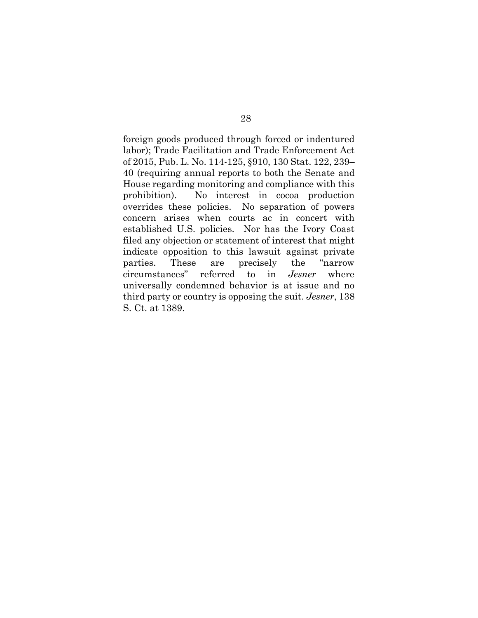foreign goods produced through forced or indentured labor); Trade Facilitation and Trade Enforcement Act of 2015, Pub. L. No. 114-125, §910, 130 Stat. 122, 239– 40 (requiring annual reports to both the Senate and House regarding monitoring and compliance with this prohibition). No interest in cocoa production overrides these policies. No separation of powers concern arises when courts ac in concert with established U.S. policies. Nor has the Ivory Coast filed any objection or statement of interest that might indicate opposition to this lawsuit against private parties. These are precisely the "narrow circumstances" referred to in *Jesner* where universally condemned behavior is at issue and no third party or country is opposing the suit. *Jesner*, 138 S. Ct. at 1389.